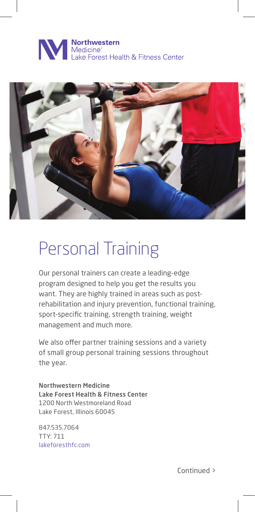## **NOTHERRY SETTER**<br>Medicine<sup>\*</sup><br>Lake Forest Health & Fitness Center



## Personal Training

Our personal trainers can create a leading-edge program designed to help you get the results you want. They are highly trained in areas such as postrehabilitation and injury prevention, functional training, sport-specific training, strength training, weight management and much more.

We also offer partner training sessions and a variety of small group personal training sessions throughout the year.

Northwestern Medicine Lake Forest Health & Fitness Center 1200 North Westmoreland Road Lake Forest, Illinois 60045

847.535.7064 TTY: 711 lakeforesthfc.com

Continued >